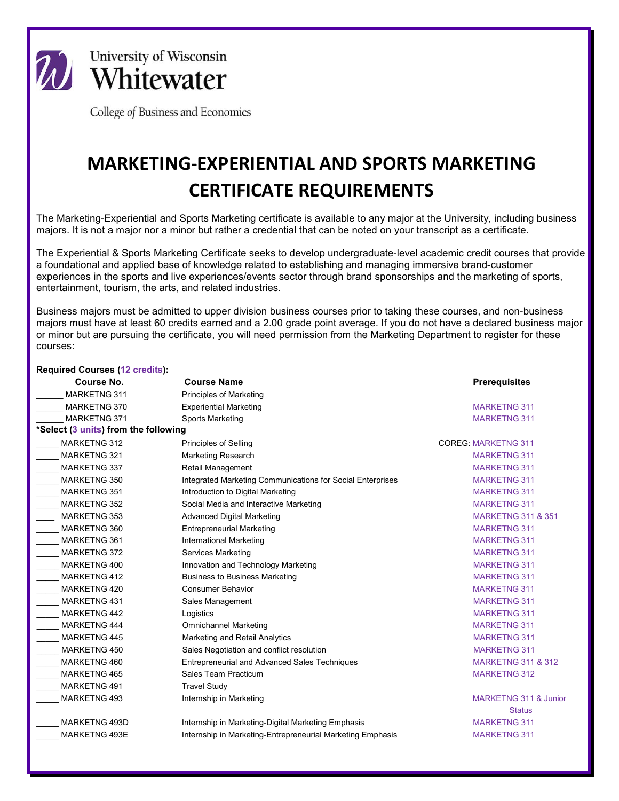

**University of Wisconsin** Whitewater

College of Business and Economics

## **MARKETING-EXPERIENTIAL AND SPORTS MARKETING CERTIFICATE REQUIREMENTS**

The Marketing-Experiential and Sports Marketing certificate is available to any major at the University, including business majors. It is not a major nor a minor but rather a credential that can be noted on your transcript as a certificate.

The Experiential & Sports Marketing Certificate seeks to develop undergraduate-level academic credit courses that provide a foundational and applied base of knowledge related to establishing and managing immersive brand-customer experiences in the sports and live experiences/events sector through brand sponsorships and the marketing of sports, entertainment, tourism, the arts, and related industries.

Business majors must be admitted to upper division business courses prior to taking these courses, and non-business majors must have at least 60 credits earned and a 2.00 grade point average. If you do not have a declared business major or minor but are pursuing the certificate, you will need permission from the Marketing Department to register for these courses:

| <b>Required Courses (12 credits):</b> |                                                            |                                  |
|---------------------------------------|------------------------------------------------------------|----------------------------------|
| Course No.                            | <b>Course Name</b>                                         | <b>Prerequisites</b>             |
| <b>MARKETNG 311</b>                   | <b>Principles of Marketing</b>                             |                                  |
| MARKETNG 370                          | <b>Experiential Marketing</b>                              | <b>MARKETNG 311</b>              |
| <b>MARKETNG 371</b>                   | Sports Marketing                                           | <b>MARKETNG 311</b>              |
| *Select (3 units) from the following  |                                                            |                                  |
| MARKETNG 312                          | Principles of Selling                                      | <b>COREG: MARKETNG 311</b>       |
| <b>MARKETNG 321</b>                   | <b>Marketing Research</b>                                  | <b>MARKETNG 311</b>              |
| MARKETNG 337                          | Retail Management                                          | <b>MARKETNG 311</b>              |
| MARKETNG 350                          | Integrated Marketing Communications for Social Enterprises | <b>MARKETNG 311</b>              |
| <b>MARKETNG 351</b>                   | Introduction to Digital Marketing                          | <b>MARKETNG 311</b>              |
| <b>MARKETNG 352</b>                   | Social Media and Interactive Marketing                     | <b>MARKETNG 311</b>              |
| MARKETNG 353                          | <b>Advanced Digital Marketing</b>                          | <b>MARKETNG 311 &amp; 351</b>    |
| MARKETNG 360                          | <b>Entrepreneurial Marketing</b>                           | <b>MARKETNG 311</b>              |
| MARKETNG 361                          | <b>International Marketing</b>                             | <b>MARKETNG 311</b>              |
| MARKETNG 372                          | <b>Services Marketing</b>                                  | <b>MARKETNG 311</b>              |
| MARKETNG 400                          | Innovation and Technology Marketing                        | <b>MARKETNG 311</b>              |
| <b>MARKETNG 412</b>                   | <b>Business to Business Marketing</b>                      | <b>MARKETNG 311</b>              |
| MARKETNG 420                          | <b>Consumer Behavior</b>                                   | <b>MARKETNG 311</b>              |
| <b>MARKETNG 431</b>                   | Sales Management                                           | <b>MARKETNG 311</b>              |
| <b>MARKETNG 442</b>                   | Logistics                                                  | <b>MARKETNG 311</b>              |
| MARKETNG 444                          | <b>Omnichannel Marketing</b>                               | <b>MARKETNG 311</b>              |
| <b>MARKETNG 445</b>                   | Marketing and Retail Analytics                             | <b>MARKETNG 311</b>              |
| MARKETNG 450                          | Sales Negotiation and conflict resolution                  | <b>MARKETNG 311</b>              |
| MARKETNG 460                          | <b>Entrepreneurial and Advanced Sales Techniques</b>       | <b>MARKETNG 311 &amp; 312</b>    |
| <b>MARKETNG 465</b>                   | Sales Team Practicum                                       | <b>MARKETNG 312</b>              |
| MARKETNG 491                          | <b>Travel Study</b>                                        |                                  |
| MARKETNG 493                          | Internship in Marketing                                    | <b>MARKETNG 311 &amp; Junior</b> |
|                                       |                                                            | <b>Status</b>                    |
| MARKETNG 493D                         | Internship in Marketing-Digital Marketing Emphasis         | <b>MARKETNG 311</b>              |
| MARKETNG 493E                         | Internship in Marketing-Entrepreneurial Marketing Emphasis | <b>MARKETNG 311</b>              |
|                                       |                                                            |                                  |